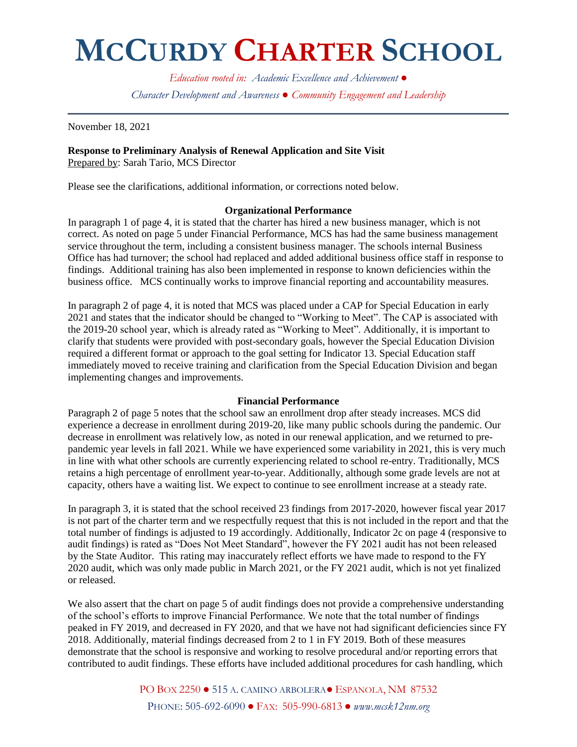## **MCCURDY CHARTER SCHOOL**

*Education rooted in: Academic Excellence and Achievement ● Character Development and Awareness ● Community Engagement and Leadership*

November 18, 2021

#### **Response to Preliminary Analysis of Renewal Application and Site Visit** Prepared by: Sarah Tario, MCS Director

Please see the clarifications, additional information, or corrections noted below.

### **Organizational Performance**

In paragraph 1 of page 4, it is stated that the charter has hired a new business manager, which is not correct. As noted on page 5 under Financial Performance, MCS has had the same business management service throughout the term, including a consistent business manager. The schools internal Business Office has had turnover; the school had replaced and added additional business office staff in response to findings. Additional training has also been implemented in response to known deficiencies within the business office. MCS continually works to improve financial reporting and accountability measures.

In paragraph 2 of page 4, it is noted that MCS was placed under a CAP for Special Education in early 2021 and states that the indicator should be changed to "Working to Meet". The CAP is associated with the 2019-20 school year, which is already rated as "Working to Meet". Additionally, it is important to clarify that students were provided with post-secondary goals, however the Special Education Division required a different format or approach to the goal setting for Indicator 13. Special Education staff immediately moved to receive training and clarification from the Special Education Division and began implementing changes and improvements.

### **Financial Performance**

Paragraph 2 of page 5 notes that the school saw an enrollment drop after steady increases. MCS did experience a decrease in enrollment during 2019-20, like many public schools during the pandemic. Our decrease in enrollment was relatively low, as noted in our renewal application, and we returned to prepandemic year levels in fall 2021. While we have experienced some variability in 2021, this is very much in line with what other schools are currently experiencing related to school re-entry. Traditionally, MCS retains a high percentage of enrollment year-to-year. Additionally, although some grade levels are not at capacity, others have a waiting list. We expect to continue to see enrollment increase at a steady rate.

In paragraph 3, it is stated that the school received 23 findings from 2017-2020, however fiscal year 2017 is not part of the charter term and we respectfully request that this is not included in the report and that the total number of findings is adjusted to 19 accordingly. Additionally, Indicator 2c on page 4 (responsive to audit findings) is rated as "Does Not Meet Standard", however the FY 2021 audit has not been released by the State Auditor. This rating may inaccurately reflect efforts we have made to respond to the FY 2020 audit, which was only made public in March 2021, or the FY 2021 audit, which is not yet finalized or released.

We also assert that the chart on page 5 of audit findings does not provide a comprehensive understanding of the school's efforts to improve Financial Performance. We note that the total number of findings peaked in FY 2019, and decreased in FY 2020, and that we have not had significant deficiencies since FY 2018. Additionally, material findings decreased from 2 to 1 in FY 2019. Both of these measures demonstrate that the school is responsive and working to resolve procedural and/or reporting errors that contributed to audit findings. These efforts have included additional procedures for cash handling, which

> PO BOX 2250 ● 515 A. CAMINO ARBOLERA● ESPANOLA, NM 87532 PHONE: 505-692-6090 ● FAX: 505-990-6813 ● *www.mcsk12nm.org*